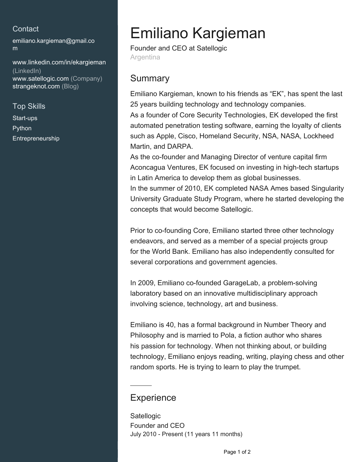#### **Contact**

[emiliano.kargieman@gmail.co](mailto:emiliano.kargieman@gmail.com) [m](mailto:emiliano.kargieman@gmail.com)

[www.linkedin.com/in/ekargieman](https://www.linkedin.com/in/ekargieman?jobid=1234&lipi=urn%3Ali%3Apage%3Ad_jobs_easyapply_pdfgenresume%3Bi4Y63Iw%2FQSqCsubHPnFZsQ%3D%3D&licu=urn%3Ali%3Acontrol%3Ad_jobs_easyapply_pdfgenresume-v02_profile) [\(LinkedIn\)](https://www.linkedin.com/in/ekargieman?jobid=1234&lipi=urn%3Ali%3Apage%3Ad_jobs_easyapply_pdfgenresume%3Bi4Y63Iw%2FQSqCsubHPnFZsQ%3D%3D&licu=urn%3Ali%3Acontrol%3Ad_jobs_easyapply_pdfgenresume-v02_profile) [www.satellogic.com \(Company\)](http://www.satellogic.com) [strangeknot.com \(Blog\)](http://strangeknot.com)

Top Skills Start-ups Python Entrepreneurship

# Emiliano Kargieman

Founder and CEO at Satellogic Argentina

### **Summary**

Emiliano Kargieman, known to his friends as "EK", has spent the last 25 years building technology and technology companies. As a founder of Core Security Technologies, EK developed the first automated penetration testing software, earning the loyalty of clients such as Apple, Cisco, Homeland Security, NSA, NASA, Lockheed Martin, and DARPA.

As the co-founder and Managing Director of venture capital firm Aconcagua Ventures, EK focused on investing in high-tech startups in Latin America to develop them as global businesses. In the summer of 2010, EK completed NASA Ames based Singularity University Graduate Study Program, where he started developing the concepts that would become Satellogic.

Prior to co-founding Core, Emiliano started three other technology endeavors, and served as a member of a special projects group for the World Bank. Emiliano has also independently consulted for several corporations and government agencies.

In 2009, Emiliano co-founded GarageLab, a problem-solving laboratory based on an innovative multidisciplinary approach involving science, technology, art and business.

Emiliano is 40, has a formal background in Number Theory and Philosophy and is married to Pola, a fiction author who shares his passion for technology. When not thinking about, or building technology, Emiliano enjoys reading, writing, playing chess and other random sports. He is trying to learn to play the trumpet.

### **Experience**

**Satellogic** Founder and CEO July 2010 - Present (11 years 11 months)